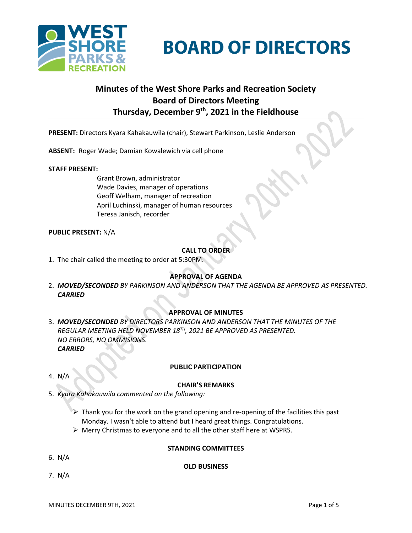



# **Minutes of the West Shore Parks and Recreation Society Board of Directors Meeting Thursday, December 9 th , 2021 in the Fieldhouse**

**PRESENT:** Directors Kyara Kahakauwila (chair), Stewart Parkinson, Leslie Anderson

**ABSENT:** Roger Wade; Damian Kowalewich via cell phone

#### **STAFF PRESENT:**

Grant Brown, administrator Wade Davies, manager of operations Geoff Welham, manager of recreation April Luchinski, manager of human resources Teresa Janisch, recorder

#### **PUBLIC PRESENT:** N/A

# **CALL TO ORDER**

1. The chair called the meeting to order at 5:30PM.

# **APPROVAL OF AGENDA**

2. *MOVED/SECONDED BY PARKINSON AND ANDERSON THAT THE AGENDA BE APPROVED AS PRESENTED. CARRIED*

# **APPROVAL OF MINUTES**

3. *MOVED/SECONDED BY DIRECTORS PARKINSON AND ANDERSON THAT THE MINUTES OF THE REGULAR MEETING HELD NOVEMBER 18TH, 2021 BE APPROVED AS PRESENTED. NO ERRORS, NO OMMISIONS. CARRIED*

#### 4. N/A

# **PUBLIC PARTICIPATION**

#### **CHAIR'S REMARKS**

- 5. *Kyara Kahakauwila commented on the following:*
	- $\triangleright$  Thank you for the work on the grand opening and re-opening of the facilities this past Monday. I wasn't able to attend but I heard great things. Congratulations.
	- ➢ Merry Christmas to everyone and to all the other staff here at WSPRS.

#### **STANDING COMMITTEES**

6. N/A

#### **OLD BUSINESS**

7. N/A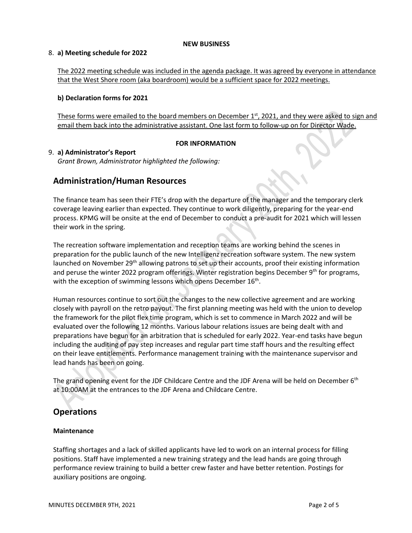#### **NEW BUSINESS**

#### 8. **a) Meeting schedule for 2022**

The 2022 meeting schedule was included in the agenda package. It was agreed by everyone in attendance that the West Shore room (aka boardroom) would be a sufficient space for 2022 meetings.

# **b) Declaration forms for 2021**

These forms were emailed to the board members on December  $1<sup>st</sup>$ , 2021, and they were asked to sign and email them back into the administrative assistant. One last form to follow-up on for Director Wade.

# **FOR INFORMATION**

# 9. **a) Administrator's Report**

*Grant Brown, Administrator highlighted the following:*

# **Administration/Human Resources**

The finance team has seen their FTE's drop with the departure of the manager and the temporary clerk coverage leaving earlier than expected. They continue to work diligently, preparing for the year-end process. KPMG will be onsite at the end of December to conduct a pre-audit for 2021 which will lessen their work in the spring.

The recreation software implementation and reception teams are working behind the scenes in preparation for the public launch of the new Intelligenz recreation software system. The new system launched on November 29<sup>th</sup> allowing patrons to set up their accounts, proof their existing information and peruse the winter 2022 program offerings. Winter registration begins December 9<sup>th</sup> for programs, with the exception of swimming lessons which opens December 16<sup>th</sup>.

Human resources continue to sort out the changes to the new collective agreement and are working closely with payroll on the retro payout. The first planning meeting was held with the union to develop the framework for the pilot flex time program, which is set to commence in March 2022 and will be evaluated over the following 12 months. Various labour relations issues are being dealt with and preparations have begun for an arbitration that is scheduled for early 2022. Year-end tasks have begun including the auditing of pay step increases and regular part time staff hours and the resulting effect on their leave entitlements. Performance management training with the maintenance supervisor and lead hands has been on going.

The grand opening event for the JDF Childcare Centre and the JDF Arena will be held on December 6<sup>th</sup> at 10:00AM at the entrances to the JDF Arena and Childcare Centre.

# **Operations**

# **Maintenance**

Staffing shortages and a lack of skilled applicants have led to work on an internal process for filling positions. Staff have implemented a new training strategy and the lead hands are going through performance review training to build a better crew faster and have better retention. Postings for auxiliary positions are ongoing.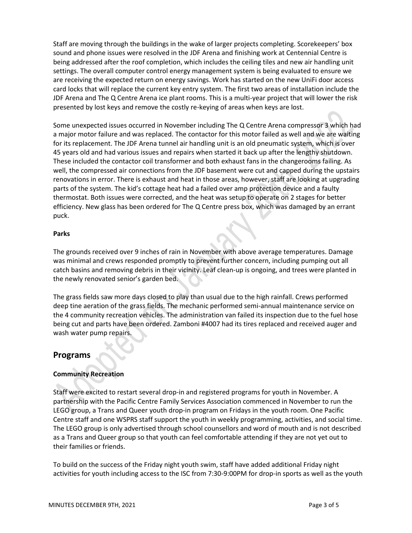Staff are moving through the buildings in the wake of larger projects completing. Scorekeepers' box sound and phone issues were resolved in the JDF Arena and finishing work at Centennial Centre is being addressed after the roof completion, which includes the ceiling tiles and new air handling unit settings. The overall computer control energy management system is being evaluated to ensure we are receiving the expected return on energy savings. Work has started on the new UniFi door access card locks that will replace the current key entry system. The first two areas of installation include the JDF Arena and The Q Centre Arena ice plant rooms. This is a multi-year project that will lower the risk presented by lost keys and remove the costly re-keying of areas when keys are lost.

Some unexpected issues occurred in November including The Q Centre Arena compressor 3 which had a major motor failure and was replaced. The contactor for this motor failed as well and we are waiting for its replacement. The JDF Arena tunnel air handling unit is an old pneumatic system, which is over 45 years old and had various issues and repairs when started it back up after the lengthy shutdown. These included the contactor coil transformer and both exhaust fans in the changerooms failing. As well, the compressed air connections from the JDF basement were cut and capped during the upstairs renovations in error. There is exhaust and heat in those areas, however, staff are looking at upgrading parts of the system. The kid's cottage heat had a failed over amp protection device and a faulty thermostat. Both issues were corrected, and the heat was setup to operate on 2 stages for better efficiency. New glass has been ordered for The Q Centre press box, which was damaged by an errant puck.

#### **Parks**

The grounds received over 9 inches of rain in November with above average temperatures. Damage was minimal and crews responded promptly to prevent further concern, including pumping out all catch basins and removing debris in their vicinity. Leaf clean-up is ongoing, and trees were planted in the newly renovated senior's garden bed.

The grass fields saw more days closed to play than usual due to the high rainfall. Crews performed deep tine aeration of the grass fields. The mechanic performed semi-annual maintenance service on the 4 community recreation vehicles. The administration van failed its inspection due to the fuel hose being cut and parts have been ordered. Zamboni #4007 had its tires replaced and received auger and wash water pump repairs.

# **Programs**

# **Community Recreation**

Staff were excited to restart several drop-in and registered programs for youth in November. A partnership with the Pacific Centre Family Services Association commenced in November to run the LEGO group, a Trans and Queer youth drop-in program on Fridays in the youth room. One Pacific Centre staff and one WSPRS staff support the youth in weekly programming, activities, and social time. The LEGO group is only advertised through school counsellors and word of mouth and is not described as a Trans and Queer group so that youth can feel comfortable attending if they are not yet out to their families or friends.

To build on the success of the Friday night youth swim, staff have added additional Friday night activities for youth including access to the ISC from 7:30-9:00PM for drop-in sports as well as the youth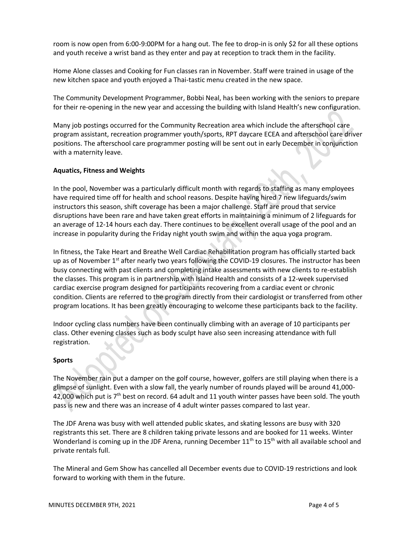room is now open from 6:00-9:00PM for a hang out. The fee to drop-in is only \$2 for all these options and youth receive a wrist band as they enter and pay at reception to track them in the facility.

Home Alone classes and Cooking for Fun classes ran in November. Staff were trained in usage of the new kitchen space and youth enjoyed a Thai-tastic menu created in the new space.

The Community Development Programmer, Bobbi Neal, has been working with the seniors to prepare for their re-opening in the new year and accessing the building with Island Health's new configuration.

Many job postings occurred for the Community Recreation area which include the afterschool care program assistant, recreation programmer youth/sports, RPT daycare ECEA and afterschool care driver positions. The afterschool care programmer posting will be sent out in early December in conjunction with a maternity leave.

# **Aquatics, Fitness and Weights**

In the pool, November was a particularly difficult month with regards to staffing as many employees have required time off for health and school reasons. Despite having hired 7 new lifeguards/swim instructors this season, shift coverage has been a major challenge. Staff are proud that service disruptions have been rare and have taken great efforts in maintaining a minimum of 2 lifeguards for an average of 12-14 hours each day. There continues to be excellent overall usage of the pool and an increase in popularity during the Friday night youth swim and within the aqua yoga program.

In fitness, the Take Heart and Breathe Well Cardiac Rehabilitation program has officially started back up as of November 1<sup>st</sup> after nearly two years following the COVID-19 closures. The instructor has been busy connecting with past clients and completing intake assessments with new clients to re-establish the classes. This program is in partnership with Island Health and consists of a 12-week supervised cardiac exercise program designed for participants recovering from a cardiac event or chronic condition. Clients are referred to the program directly from their cardiologist or transferred from other program locations. It has been greatly encouraging to welcome these participants back to the facility.

Indoor cycling class numbers have been continually climbing with an average of 10 participants per class. Other evening classes such as body sculpt have also seen increasing attendance with full registration.

#### **Sports**

The November rain put a damper on the golf course, however, golfers are still playing when there is a glimpse of sunlight. Even with a slow fall, the yearly number of rounds played will be around 41,000- 42,000 which put is  $7<sup>th</sup>$  best on record. 64 adult and 11 youth winter passes have been sold. The youth pass is new and there was an increase of 4 adult winter passes compared to last year.

The JDF Arena was busy with well attended public skates, and skating lessons are busy with 320 registrants this set. There are 8 children taking private lessons and are booked for 11 weeks. Winter Wonderland is coming up in the JDF Arena, running December 11<sup>th</sup> to 15<sup>th</sup> with all available school and private rentals full.

The Mineral and Gem Show has cancelled all December events due to COVID-19 restrictions and look forward to working with them in the future.